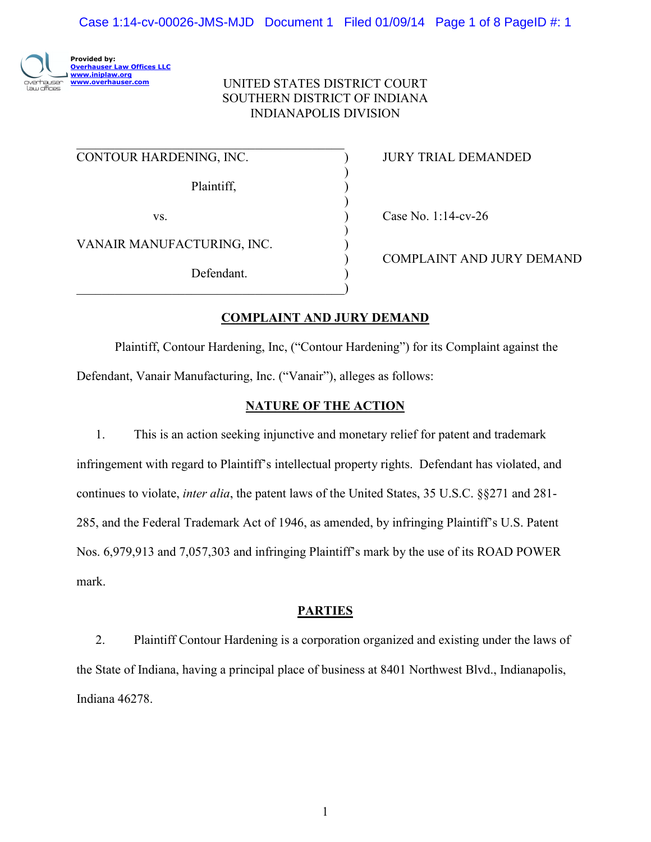

# UNITED STATES DISTRICT COURT SOUTHERN DISTRICT OF INDIANA INDIANAPOLIS DIVISION

)

)

)

 $\mathcal{L}_\text{max}$  , where  $\mathcal{L}_\text{max}$  and  $\mathcal{L}_\text{max}$  and  $\mathcal{L}_\text{max}$  and  $\mathcal{L}_\text{max}$ CONTOUR HARDENING, INC. ) JURY TRIAL DEMANDED

Plaintiff, )

vs. (as a contract of the Case No. 1:14-cv-26)

VANAIR MANUFACTURING, INC. )

Defendant.

 $\qquad \qquad \qquad \qquad \qquad \qquad \qquad$ 

) COMPLAINT AND JURY DEMAND

# **COMPLAINT AND JURY DEMAND**

Plaintiff, Contour Hardening, Inc, ("Contour Hardening") for its Complaint against the Defendant, Vanair Manufacturing, Inc. ("Vanair"), alleges as follows:

# **NATURE OF THE ACTION**

1. This is an action seeking injunctive and monetary relief for patent and trademark infringement with regard to Plaintiff's intellectual property rights. Defendant has violated, and continues to violate, *inter alia*, the patent laws of the United States, 35 U.S.C. §§271 and 281- 285, and the Federal Trademark Act of 1946, as amended, by infringing Plaintiff's U.S. Patent Nos. 6,979,913 and 7,057,303 and infringing Plaintiff's mark by the use of its ROAD POWER mark.

### **PARTIES**

2. Plaintiff Contour Hardening is a corporation organized and existing under the laws of the State of Indiana, having a principal place of business at 8401 Northwest Blvd., Indianapolis, Indiana 46278.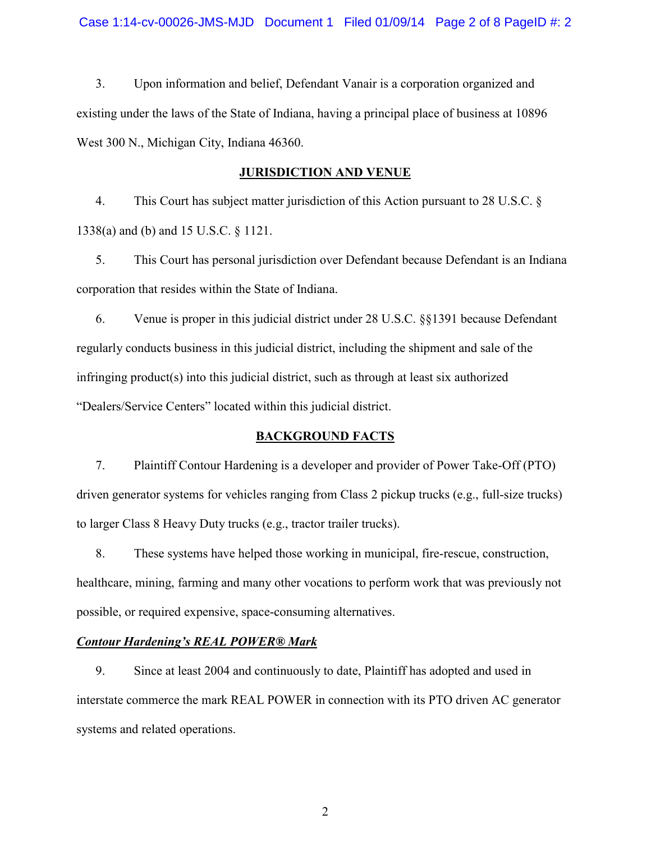3. Upon information and belief, Defendant Vanair is a corporation organized and existing under the laws of the State of Indiana, having a principal place of business at 10896 West 300 N., Michigan City, Indiana 46360.

### **JURISDICTION AND VENUE**

4. This Court has subject matter jurisdiction of this Action pursuant to 28 U.S.C. § 1338(a) and (b) and 15 U.S.C. § 1121.

5. This Court has personal jurisdiction over Defendant because Defendant is an Indiana corporation that resides within the State of Indiana.

6. Venue is proper in this judicial district under 28 U.S.C. §§1391 because Defendant regularly conducts business in this judicial district, including the shipment and sale of the infringing product(s) into this judicial district, such as through at least six authorized "Dealers/Service Centers" located within this judicial district.

### **BACKGROUND FACTS**

7. Plaintiff Contour Hardening is a developer and provider of Power Take-Off (PTO) driven generator systems for vehicles ranging from Class 2 pickup trucks (e.g., full-size trucks) to larger Class 8 Heavy Duty trucks (e.g., tractor trailer trucks).

8. These systems have helped those working in municipal, fire-rescue, construction, healthcare, mining, farming and many other vocations to perform work that was previously not possible, or required expensive, space-consuming alternatives.

### *Contour Hardening's REAL POWER® Mark*

9. Since at least 2004 and continuously to date, Plaintiff has adopted and used in interstate commerce the mark REAL POWER in connection with its PTO driven AC generator systems and related operations.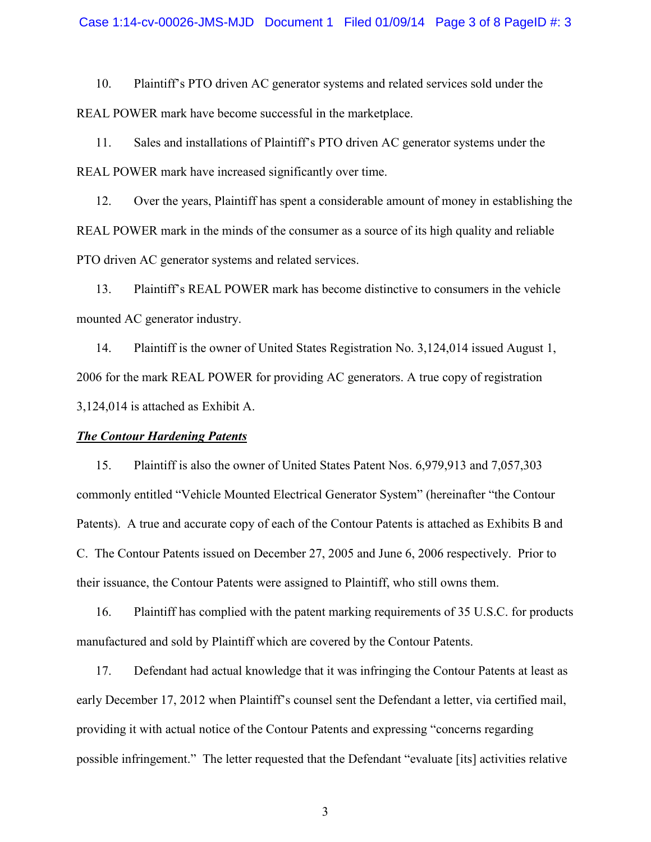10. Plaintiff's PTO driven AC generator systems and related services sold under the REAL POWER mark have become successful in the marketplace.

11. Sales and installations of Plaintiff's PTO driven AC generator systems under the REAL POWER mark have increased significantly over time.

12. Over the years, Plaintiff has spent a considerable amount of money in establishing the REAL POWER mark in the minds of the consumer as a source of its high quality and reliable PTO driven AC generator systems and related services.

13. Plaintiff's REAL POWER mark has become distinctive to consumers in the vehicle mounted AC generator industry.

14. Plaintiff is the owner of United States Registration No. 3,124,014 issued August 1, 2006 for the mark REAL POWER for providing AC generators. A true copy of registration 3,124,014 is attached as Exhibit A.

#### *The Contour Hardening Patents*

15. Plaintiff is also the owner of United States Patent Nos. 6,979,913 and 7,057,303 commonly entitled "Vehicle Mounted Electrical Generator System" (hereinafter "the Contour Patents). A true and accurate copy of each of the Contour Patents is attached as Exhibits B and C. The Contour Patents issued on December 27, 2005 and June 6, 2006 respectively. Prior to their issuance, the Contour Patents were assigned to Plaintiff, who still owns them.

16. Plaintiff has complied with the patent marking requirements of 35 U.S.C. for products manufactured and sold by Plaintiff which are covered by the Contour Patents.

17. Defendant had actual knowledge that it was infringing the Contour Patents at least as early December 17, 2012 when Plaintiff's counsel sent the Defendant a letter, via certified mail, providing it with actual notice of the Contour Patents and expressing "concerns regarding possible infringement." The letter requested that the Defendant "evaluate [its] activities relative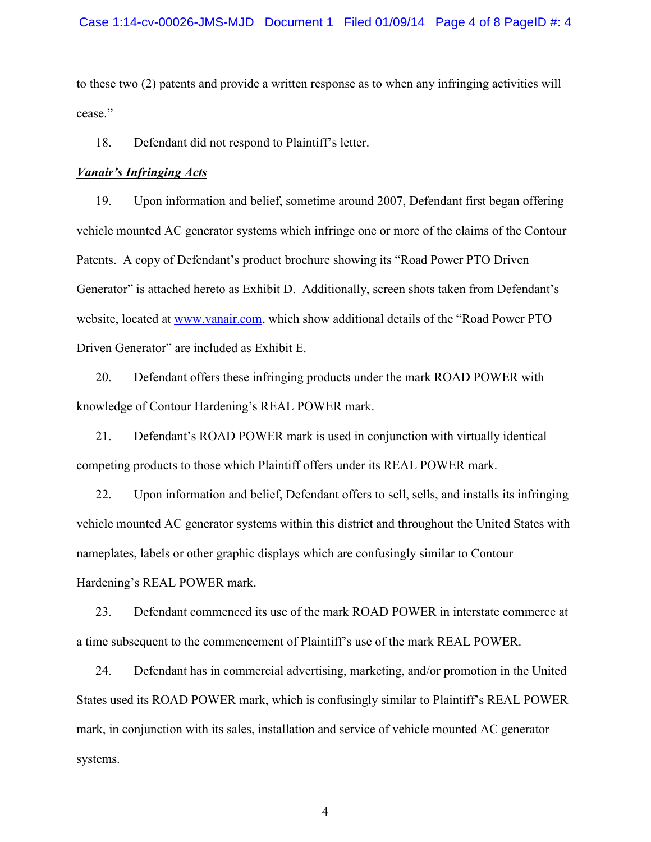to these two (2) patents and provide a written response as to when any infringing activities will cease."

18. Defendant did not respond to Plaintiff's letter.

#### *Vanair's Infringing Acts*

19. Upon information and belief, sometime around 2007, Defendant first began offering vehicle mounted AC generator systems which infringe one or more of the claims of the Contour Patents. A copy of Defendant's product brochure showing its "Road Power PTO Driven Generator" is attached hereto as Exhibit D. Additionally, screen shots taken from Defendant's website, located at www.vanair.com, which show additional details of the "Road Power PTO Driven Generator" are included as Exhibit E.

20. Defendant offers these infringing products under the mark ROAD POWER with knowledge of Contour Hardening's REAL POWER mark.

21. Defendant's ROAD POWER mark is used in conjunction with virtually identical competing products to those which Plaintiff offers under its REAL POWER mark.

22. Upon information and belief, Defendant offers to sell, sells, and installs its infringing vehicle mounted AC generator systems within this district and throughout the United States with nameplates, labels or other graphic displays which are confusingly similar to Contour Hardening's REAL POWER mark.

23. Defendant commenced its use of the mark ROAD POWER in interstate commerce at a time subsequent to the commencement of Plaintiff's use of the mark REAL POWER.

24. Defendant has in commercial advertising, marketing, and/or promotion in the United States used its ROAD POWER mark, which is confusingly similar to Plaintiff's REAL POWER mark, in conjunction with its sales, installation and service of vehicle mounted AC generator systems.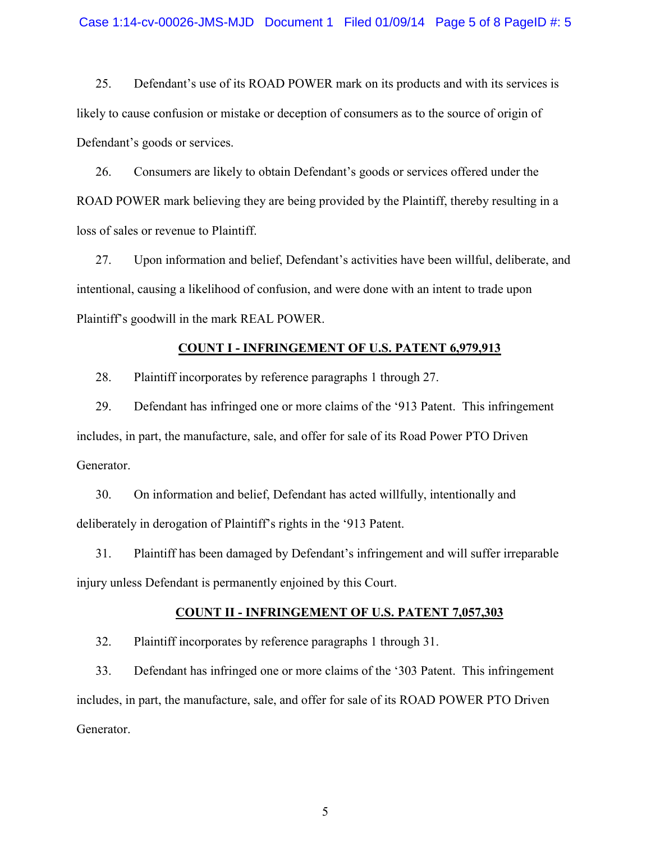25. Defendant's use of its ROAD POWER mark on its products and with its services is likely to cause confusion or mistake or deception of consumers as to the source of origin of Defendant's goods or services.

26. Consumers are likely to obtain Defendant's goods or services offered under the ROAD POWER mark believing they are being provided by the Plaintiff, thereby resulting in a loss of sales or revenue to Plaintiff.

27. Upon information and belief, Defendant's activities have been willful, deliberate, and intentional, causing a likelihood of confusion, and were done with an intent to trade upon Plaintiff's goodwill in the mark REAL POWER.

#### **COUNT I - INFRINGEMENT OF U.S. PATENT 6,979,913**

28. Plaintiff incorporates by reference paragraphs 1 through 27.

29. Defendant has infringed one or more claims of the '913 Patent. This infringement includes, in part, the manufacture, sale, and offer for sale of its Road Power PTO Driven Generator.

30. On information and belief, Defendant has acted willfully, intentionally and deliberately in derogation of Plaintiff's rights in the '913 Patent.

31. Plaintiff has been damaged by Defendant's infringement and will suffer irreparable injury unless Defendant is permanently enjoined by this Court.

#### **COUNT II - INFRINGEMENT OF U.S. PATENT 7,057,303**

32. Plaintiff incorporates by reference paragraphs 1 through 31.

33. Defendant has infringed one or more claims of the '303 Patent. This infringement includes, in part, the manufacture, sale, and offer for sale of its ROAD POWER PTO Driven Generator.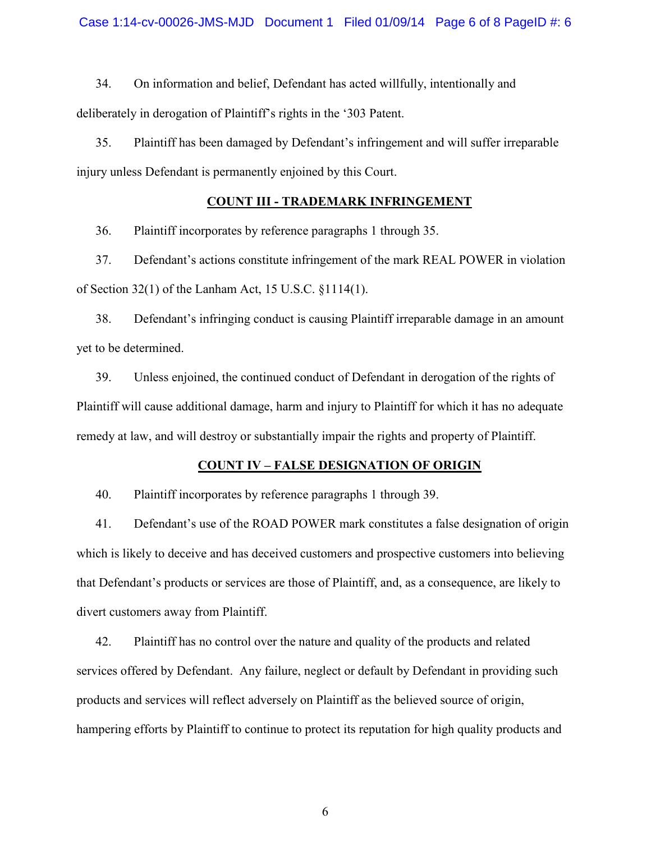34. On information and belief, Defendant has acted willfully, intentionally and deliberately in derogation of Plaintiff's rights in the '303 Patent.

35. Plaintiff has been damaged by Defendant's infringement and will suffer irreparable injury unless Defendant is permanently enjoined by this Court.

# **COUNT III - TRADEMARK INFRINGEMENT**

36. Plaintiff incorporates by reference paragraphs 1 through 35.

37. Defendant's actions constitute infringement of the mark REAL POWER in violation of Section 32(1) of the Lanham Act, 15 U.S.C. §1114(1).

38. Defendant's infringing conduct is causing Plaintiff irreparable damage in an amount yet to be determined.

39. Unless enjoined, the continued conduct of Defendant in derogation of the rights of Plaintiff will cause additional damage, harm and injury to Plaintiff for which it has no adequate remedy at law, and will destroy or substantially impair the rights and property of Plaintiff.

### **COUNT IV – FALSE DESIGNATION OF ORIGIN**

40. Plaintiff incorporates by reference paragraphs 1 through 39.

41. Defendant's use of the ROAD POWER mark constitutes a false designation of origin which is likely to deceive and has deceived customers and prospective customers into believing that Defendant's products or services are those of Plaintiff, and, as a consequence, are likely to divert customers away from Plaintiff.

42. Plaintiff has no control over the nature and quality of the products and related services offered by Defendant. Any failure, neglect or default by Defendant in providing such products and services will reflect adversely on Plaintiff as the believed source of origin, hampering efforts by Plaintiff to continue to protect its reputation for high quality products and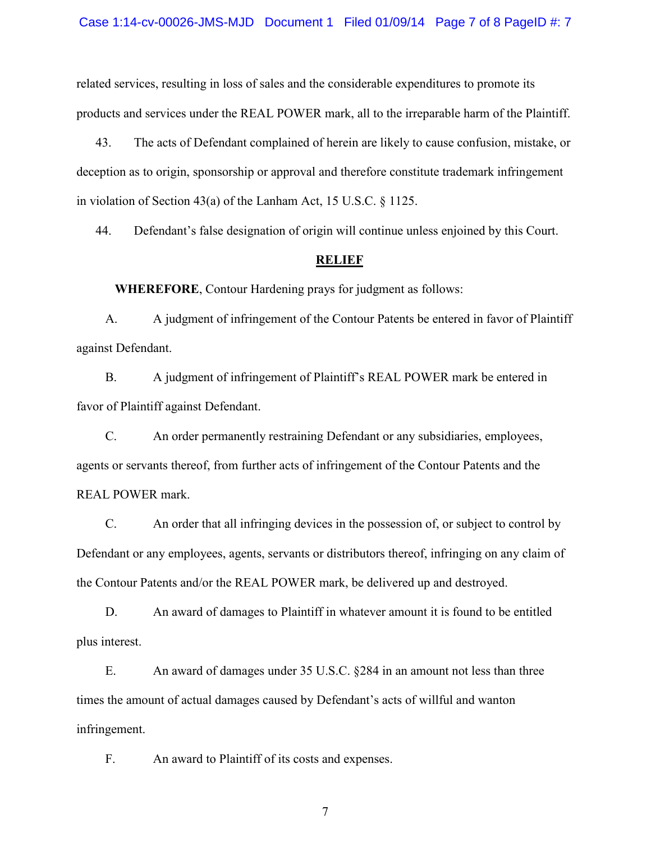related services, resulting in loss of sales and the considerable expenditures to promote its products and services under the REAL POWER mark, all to the irreparable harm of the Plaintiff.

43. The acts of Defendant complained of herein are likely to cause confusion, mistake, or deception as to origin, sponsorship or approval and therefore constitute trademark infringement in violation of Section 43(a) of the Lanham Act, 15 U.S.C. § 1125.

44. Defendant's false designation of origin will continue unless enjoined by this Court.

#### **RELIEF**

**WHEREFORE**, Contour Hardening prays for judgment as follows:

A. A judgment of infringement of the Contour Patents be entered in favor of Plaintiff against Defendant.

B. A judgment of infringement of Plaintiff's REAL POWER mark be entered in favor of Plaintiff against Defendant.

C. An order permanently restraining Defendant or any subsidiaries, employees, agents or servants thereof, from further acts of infringement of the Contour Patents and the REAL POWER mark.

C. An order that all infringing devices in the possession of, or subject to control by Defendant or any employees, agents, servants or distributors thereof, infringing on any claim of the Contour Patents and/or the REAL POWER mark, be delivered up and destroyed.

D. An award of damages to Plaintiff in whatever amount it is found to be entitled plus interest.

E. An award of damages under 35 U.S.C. §284 in an amount not less than three times the amount of actual damages caused by Defendant's acts of willful and wanton infringement.

F. An award to Plaintiff of its costs and expenses.